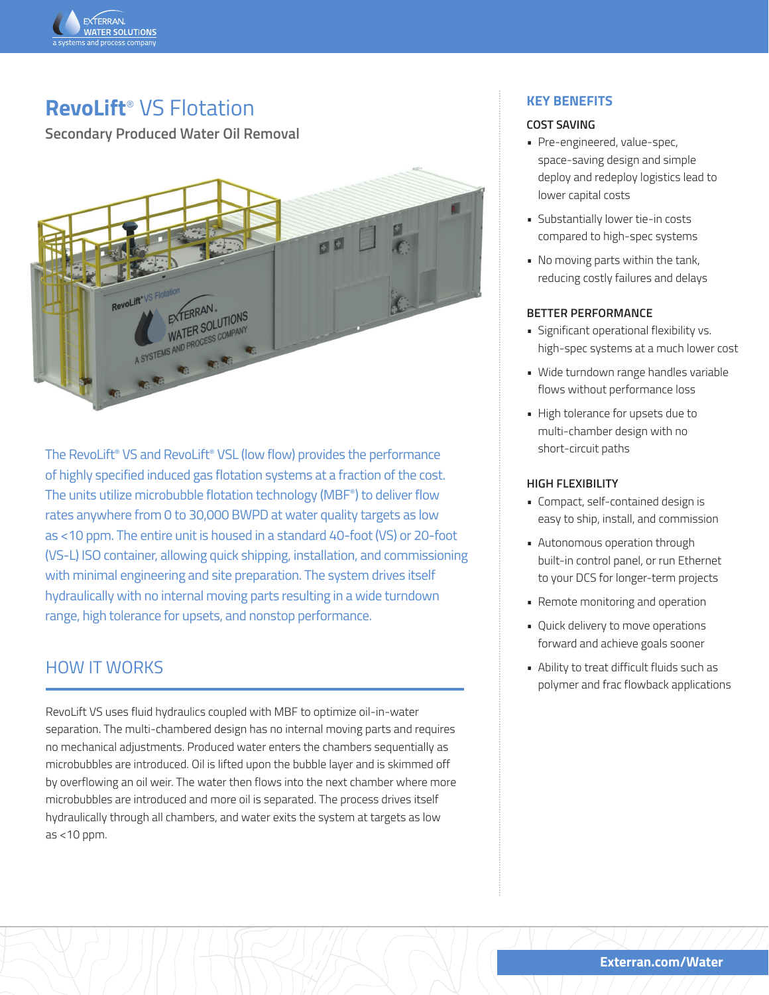

## **RevoLift**® VS Flotation

**Secondary Produced Water Oil Removal**



The RevoLift® VS and RevoLift® VSL (low flow) provides the performance of highly specified induced gas flotation systems at a fraction of the cost. The units utilize microbubble flotation technology (MBF®) to deliver flow rates anywhere from 0 to 30,000 BWPD at water quality targets as low as <10 ppm. The entire unit is housed in a standard 40-foot (VS) or 20-foot (VS-L) ISO container, allowing quick shipping, installation, and commissioning with minimal engineering and site preparation. The system drives itself hydraulically with no internal moving parts resulting in a wide turndown range, high tolerance for upsets, and nonstop performance.

### HOW IT WORKS

RevoLift VS uses fluid hydraulics coupled with MBF to optimize oil-in-water separation. The multi-chambered design has no internal moving parts and requires no mechanical adjustments. Produced water enters the chambers sequentially as microbubbles are introduced. Oil is lifted upon the bubble layer and is skimmed off by overflowing an oil weir. The water then flows into the next chamber where more microbubbles are introduced and more oil is separated. The process drives itself hydraulically through all chambers, and water exits the system at targets as low  $as < 10$  ppm.

### **KEY BENEFITS**

#### **COST SAVING**

- Pre-engineered, value-spec, space-saving design and simple deploy and redeploy logistics lead to lower capital costs
- Substantially lower tie-in costs compared to high-spec systems
- No moving parts within the tank, reducing costly failures and delays

#### **BETTER PERFORMANCE**

- Significant operational flexibility vs. high-spec systems at a much lower cost
- Wide turndown range handles variable flows without performance loss
- High tolerance for upsets due to multi-chamber design with no short-circuit paths

#### **HIGH FLEXIBILITY**

- Compact, self-contained design is easy to ship, install, and commission
- Autonomous operation through built-in control panel, or run Ethernet to your DCS for longer-term projects
- Remote monitoring and operation
- Quick delivery to move operations forward and achieve goals sooner
- Ability to treat difficult fluids such as polymer and frac flowback applications